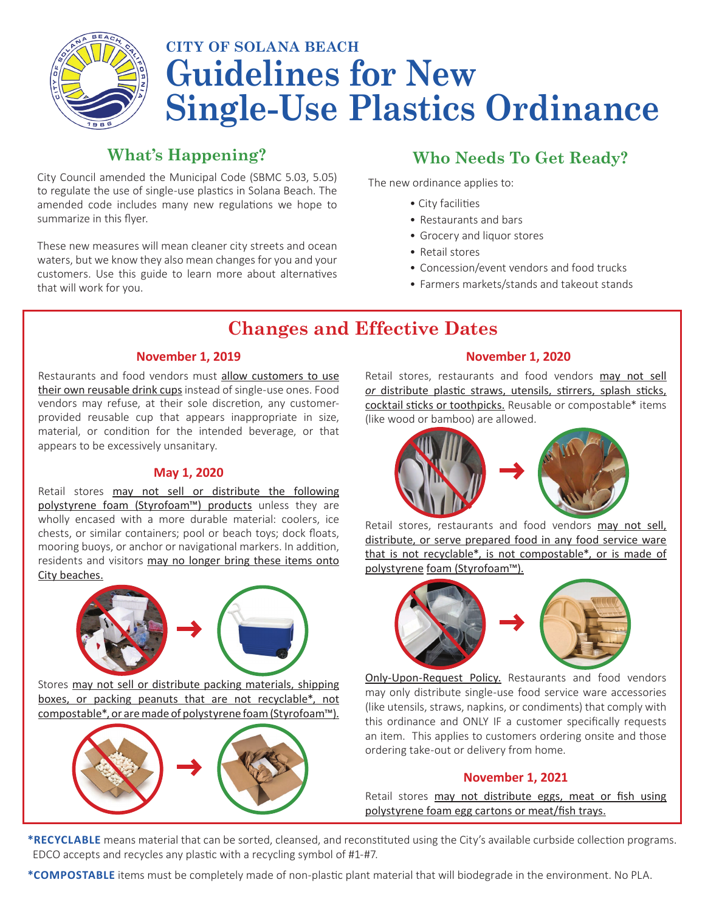

# **CITY OF SOLANA BEACH Guidelines for New Single-Use Plastics Ordinance**

## **What's Happening?**

City Council amended the Municipal Code (SBMC 5.03, 5.05) to regulate the use of single-use plastics in Solana Beach. The amended code includes many new regulations we hope to summarize in this flyer.

These new measures will mean cleaner city streets and ocean waters, but we know they also mean changes for you and your customers. Use this guide to learn more about alternatives that will work for you.

# **Who Needs To Get Ready?**

The new ordinance applies to:

- City facilities
- Restaurants and bars
- Grocery and liquor stores
- Retail stores
- Concession/event vendors and food trucks
- Farmers markets/stands and takeout stands

# **Changes and Effective Dates**

#### **November 1, 2019**

Restaurants and food vendors must allow customers to use their own reusable drink cups instead of single-use ones. Food vendors may refuse, at their sole discretion, any customerprovided reusable cup that appears inappropriate in size, material, or condition for the intended beverage, or that appears to be excessively unsanitary.

#### **May 1, 2020**

Retail stores may not sell or distribute the following polystyrene foam (Styrofoam™) products unless they are wholly encased with a more durable material: coolers, ice chests, or similar containers; pool or beach toys; dock floats, mooring buoys, or anchor or navigational markers. In addition, residents and visitors may no longer bring these items onto City beaches.



Stores may not sell or distribute packing materials, shipping boxes, or packing peanuts that are not recyclable\*, not compostable\*, or are made of polystyrene foam (Styrofoam™).



#### **November 1, 2020**

Retail stores, restaurants and food vendors may not sell *or* distribute plastic straws, utensils, stirrers, splash sticks, cocktail sticks or toothpicks. Reusable or compostable\* items (like wood or bamboo) are allowed.



Retail stores, restaurants and food vendors may not sell, distribute, or serve prepared food in any food service ware that is not recyclable\*, is not compostable\*, or is made of polystyrene foam (Styrofoam™).



Only-Upon-Request Policy. Restaurants and food vendors may only distribute single-use food service ware accessories (like utensils, straws, napkins, or condiments) that comply with this ordinance and ONLY IF a customer specifically requests an item. This applies to customers ordering onsite and those ordering take-out or delivery from home.

#### **November 1, 2021**

Retail stores may not distribute eggs, meat or fish using polystyrene foam egg cartons or meat/fish trays.

**\*RECYCLABLE** means material that can be sorted, cleansed, and reconstituted using the City's available curbside collection programs. EDCO accepts and recycles any plastic with a recycling symbol of #1-#7.

**\*COMPOSTABLE** items must be completely made of non-plastic plant material that will biodegrade in the environment. No PLA.